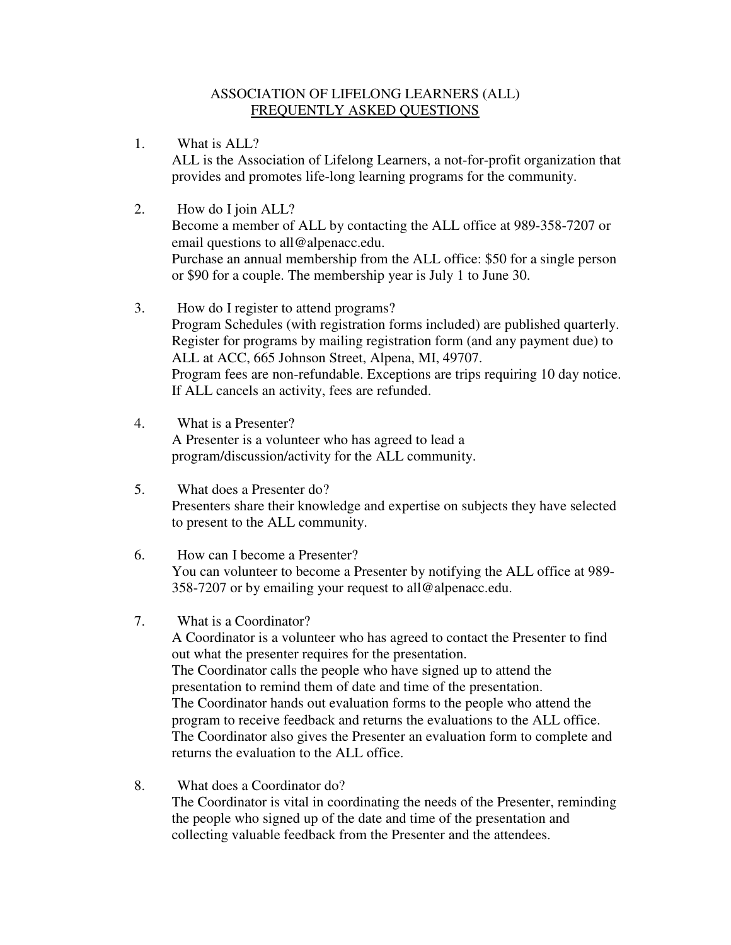## ASSOCIATION OF LIFELONG LEARNERS (ALL) FREQUENTLY ASKED QUESTIONS

- 1. What is ALL? ALL is the Association of Lifelong Learners, a not-for-profit organization that provides and promotes life-long learning programs for the community.
- 2. How do I join ALL? Become a member of ALL by contacting the ALL office at 989-358-7207 or email questions to all@alpenacc.edu. Purchase an annual membership from the ALL office: \$50 for a single person or \$90 for a couple. The membership year is July 1 to June 30.
- 3. How do I register to attend programs? Program Schedules (with registration forms included) are published quarterly. Register for programs by mailing registration form (and any payment due) to ALL at ACC, 665 Johnson Street, Alpena, MI, 49707. Program fees are non-refundable. Exceptions are trips requiring 10 day notice. If ALL cancels an activity, fees are refunded.
- 4. What is a Presenter? A Presenter is a volunteer who has agreed to lead a program/discussion/activity for the ALL community.
- 5. What does a Presenter do? Presenters share their knowledge and expertise on subjects they have selected to present to the ALL community.
- 6. How can I become a Presenter? You can volunteer to become a Presenter by notifying the ALL office at 989- 358-7207 or by emailing your request to all@alpenacc.edu.
- 7. What is a Coordinator?

A Coordinator is a volunteer who has agreed to contact the Presenter to find out what the presenter requires for the presentation. The Coordinator calls the people who have signed up to attend the presentation to remind them of date and time of the presentation. The Coordinator hands out evaluation forms to the people who attend the program to receive feedback and returns the evaluations to the ALL office. The Coordinator also gives the Presenter an evaluation form to complete and returns the evaluation to the ALL office.

8. What does a Coordinator do? The Coordinator is vital in coordinating the needs of the Presenter, reminding the people who signed up of the date and time of the presentation and collecting valuable feedback from the Presenter and the attendees.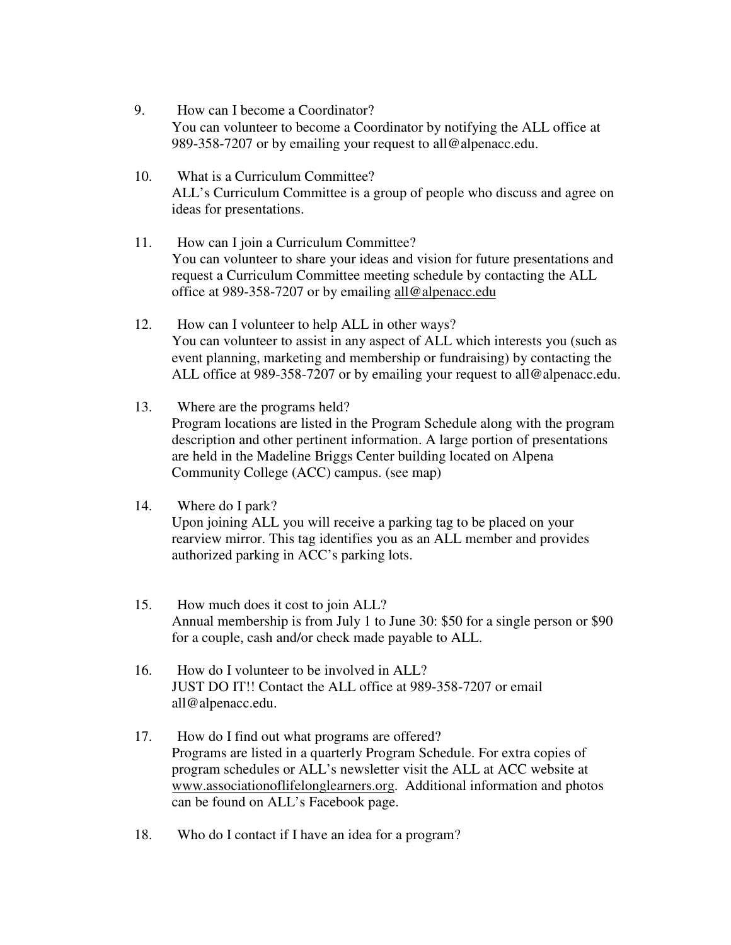- 9. How can I become a Coordinator? You can volunteer to become a Coordinator by notifying the ALL office at 989-358-7207 or by emailing your request to all@alpenacc.edu.
- 10. What is a Curriculum Committee? ALL's Curriculum Committee is a group of people who discuss and agree on ideas for presentations.
- 11. How can I join a Curriculum Committee? You can volunteer to share your ideas and vision for future presentations and request a Curriculum Committee meeting schedule by contacting the ALL office at 989-358-7207 or by emailing all@alpenacc.edu
- 12. How can I volunteer to help ALL in other ways? You can volunteer to assist in any aspect of ALL which interests you (such as event planning, marketing and membership or fundraising) by contacting the ALL office at 989-358-7207 or by emailing your request to all@alpenacc.edu.
- 13. Where are the programs held? Program locations are listed in the Program Schedule along with the program description and other pertinent information. A large portion of presentations are held in the Madeline Briggs Center building located on Alpena Community College (ACC) campus. (see map)

## 14. Where do I park? Upon joining ALL you will receive a parking tag to be placed on your rearview mirror. This tag identifies you as an ALL member and provides authorized parking in ACC's parking lots.

- 15. How much does it cost to join ALL? Annual membership is from July 1 to June 30: \$50 for a single person or \$90 for a couple, cash and/or check made payable to ALL.
- 16. How do I volunteer to be involved in ALL? JUST DO IT!! Contact the ALL office at 989-358-7207 or email all@alpenacc.edu.
- 17. How do I find out what programs are offered? Programs are listed in a quarterly Program Schedule. For extra copies of program schedules or ALL's newsletter visit the ALL at ACC website at www.associationoflifelonglearners.org. Additional information and photos can be found on ALL's Facebook page.
- 18. Who do I contact if I have an idea for a program?